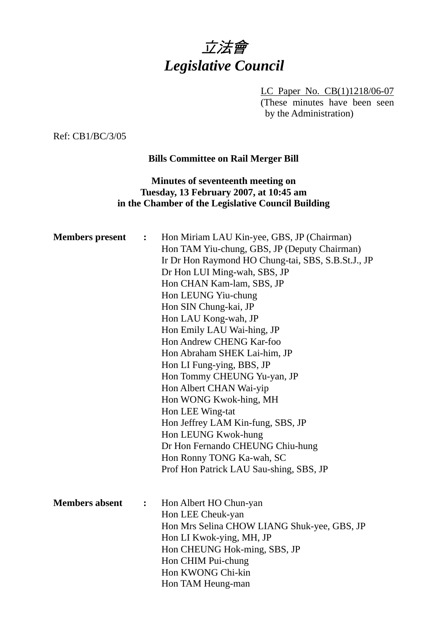

LC Paper No. CB(1)1218/06-07 (These minutes have been seen by the Administration)

Ref: CB1/BC/3/05

## **Bills Committee on Rail Merger Bill**

## **Minutes of seventeenth meeting on Tuesday, 13 February 2007, at 10:45 am in the Chamber of the Legislative Council Building**

| <b>Members</b> present | $\ddot{\cdot}$ | Hon Miriam LAU Kin-yee, GBS, JP (Chairman)<br>Hon TAM Yiu-chung, GBS, JP (Deputy Chairman)<br>Ir Dr Hon Raymond HO Chung-tai, SBS, S.B.St.J., JP<br>Dr Hon LUI Ming-wah, SBS, JP<br>Hon CHAN Kam-lam, SBS, JP<br>Hon LEUNG Yiu-chung<br>Hon SIN Chung-kai, JP<br>Hon LAU Kong-wah, JP<br>Hon Emily LAU Wai-hing, JP<br>Hon Andrew CHENG Kar-foo<br>Hon Abraham SHEK Lai-him, JP<br>Hon LI Fung-ying, BBS, JP<br>Hon Tommy CHEUNG Yu-yan, JP<br>Hon Albert CHAN Wai-yip<br>Hon WONG Kwok-hing, MH<br>Hon LEE Wing-tat<br>Hon Jeffrey LAM Kin-fung, SBS, JP<br>Hon LEUNG Kwok-hung<br>Dr Hon Fernando CHEUNG Chiu-hung<br>Hon Ronny TONG Ka-wah, SC<br>Prof Hon Patrick LAU Sau-shing, SBS, JP |
|------------------------|----------------|----------------------------------------------------------------------------------------------------------------------------------------------------------------------------------------------------------------------------------------------------------------------------------------------------------------------------------------------------------------------------------------------------------------------------------------------------------------------------------------------------------------------------------------------------------------------------------------------------------------------------------------------------------------------------------------------|
| <b>Members absent</b>  | $\ddot{\cdot}$ | Hon Albert HO Chun-yan<br>Hon LEE Cheuk-yan<br>Hon Mrs Selina CHOW LIANG Shuk-yee, GBS, JP<br>Hon LI Kwok-ying, MH, JP<br>Hon CHEUNG Hok-ming, SBS, JP<br>Hon CHIM Pui-chung<br>Hon KWONG Chi-kin<br>Hon TAM Heung-man                                                                                                                                                                                                                                                                                                                                                                                                                                                                       |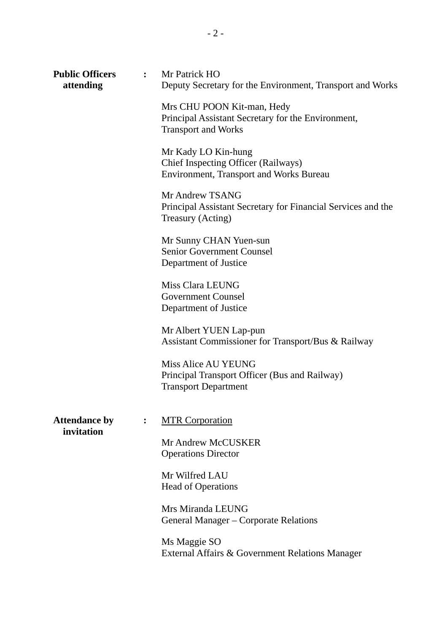| <b>Public Officers</b><br>attending |                | : Mr Patrick HO<br>Deputy Secretary for the Environment, Transport and Works                                   |
|-------------------------------------|----------------|----------------------------------------------------------------------------------------------------------------|
|                                     |                | Mrs CHU POON Kit-man, Hedy<br>Principal Assistant Secretary for the Environment,<br><b>Transport and Works</b> |
|                                     |                | Mr Kady LO Kin-hung<br>Chief Inspecting Officer (Railways)<br><b>Environment, Transport and Works Bureau</b>   |
|                                     |                | Mr Andrew TSANG<br>Principal Assistant Secretary for Financial Services and the<br>Treasury (Acting)           |
|                                     |                | Mr Sunny CHAN Yuen-sun<br><b>Senior Government Counsel</b><br>Department of Justice                            |
|                                     |                | Miss Clara LEUNG<br><b>Government Counsel</b><br>Department of Justice                                         |
|                                     |                | Mr Albert YUEN Lap-pun<br>Assistant Commissioner for Transport/Bus & Railway                                   |
|                                     |                | <b>Miss Alice AU YEUNG</b><br>Principal Transport Officer (Bus and Railway)<br><b>Transport Department</b>     |
| <b>Attendance by</b><br>invitation  | $\ddot{\cdot}$ | <b>MTR Corporation</b>                                                                                         |
|                                     |                | Mr Andrew McCUSKER<br><b>Operations Director</b>                                                               |
|                                     |                | Mr Wilfred LAU<br><b>Head of Operations</b>                                                                    |
|                                     |                | Mrs Miranda LEUNG<br>General Manager – Corporate Relations                                                     |
|                                     |                | Ms Maggie SO<br>External Affairs & Government Relations Manager                                                |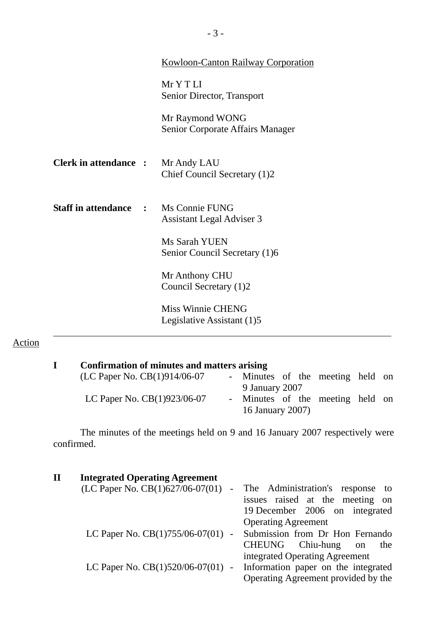|                                             | <b>Kowloon-Canton Railway Corporation</b>           |
|---------------------------------------------|-----------------------------------------------------|
|                                             | MrYTLI<br>Senior Director, Transport                |
|                                             | Mr Raymond WONG<br>Senior Corporate Affairs Manager |
| <b>Clerk in attendance :</b>                | Mr Andy LAU<br>Chief Council Secretary (1)2         |
| <b>Staff in attendance : Ms Connie FUNG</b> | Assistant Legal Adviser 3                           |
|                                             | Ms Sarah YUEN<br>Senior Council Secretary (1)6      |
|                                             | Mr Anthony CHU<br>Council Secretary (1)2            |
|                                             | Miss Winnie CHENG<br>Legislative Assistant (1)5     |

# Action

| Confirmation of minutes and matters arising |                                                      |  |  |  |
|---------------------------------------------|------------------------------------------------------|--|--|--|
| (LC Paper No. CB(1)914/06-07                | - Minutes of the meeting held on                     |  |  |  |
|                                             | 9 January 2007                                       |  |  |  |
| LC Paper No. $CB(1)923/06-07$               | - Minutes of the meeting held on<br>16 January 2007) |  |  |  |

 The minutes of the meetings held on 9 and 16 January 2007 respectively were confirmed.

| $\mathbf{I}$ | <b>Integrated Operating Agreement</b>                        |                                     |
|--------------|--------------------------------------------------------------|-------------------------------------|
|              | (LC Paper No. CB(1)627/06-07(01)<br>$\overline{\phantom{0}}$ | The Administration's response to    |
|              |                                                              | issues raised at the meeting on     |
|              |                                                              | 19 December 2006 on integrated      |
|              |                                                              | <b>Operating Agreement</b>          |
|              | LC Paper No. CB(1)755/06-07(01) -                            | Submission from Dr Hon Fernando     |
|              |                                                              | CHEUNG Chiu-hung<br>the<br>on       |
|              |                                                              | integrated Operating Agreement      |
|              | LC Paper No. CB(1)520/06-07(01) -                            | Information paper on the integrated |
|              |                                                              | Operating Agreement provided by the |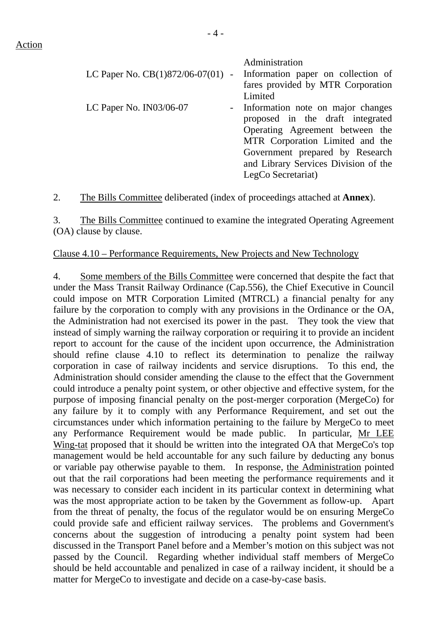|                         | Administration<br>LC Paper No. $CB(1)872/06-07(01)$ - Information paper on collection of |
|-------------------------|------------------------------------------------------------------------------------------|
|                         | fares provided by MTR Corporation                                                        |
|                         | Limited                                                                                  |
| LC Paper No. IN03/06-07 | - Information note on major changes                                                      |
|                         | proposed in the draft integrated                                                         |
|                         | Operating Agreement between the                                                          |
|                         | MTR Corporation Limited and the                                                          |
|                         | Government prepared by Research                                                          |
|                         | and Library Services Division of the                                                     |
|                         | LegCo Secretariat)                                                                       |

2. The Bills Committee deliberated (index of proceedings attached at **Annex**).

3. The Bills Committee continued to examine the integrated Operating Agreement (OA) clause by clause.

#### Clause 4.10 – Performance Requirements, New Projects and New Technology

4. Some members of the Bills Committee were concerned that despite the fact that under the Mass Transit Railway Ordinance (Cap.556), the Chief Executive in Council could impose on MTR Corporation Limited (MTRCL) a financial penalty for any failure by the corporation to comply with any provisions in the Ordinance or the OA, the Administration had not exercised its power in the past. They took the view that instead of simply warning the railway corporation or requiring it to provide an incident report to account for the cause of the incident upon occurrence, the Administration should refine clause 4.10 to reflect its determination to penalize the railway corporation in case of railway incidents and service disruptions. To this end, the Administration should consider amending the clause to the effect that the Government could introduce a penalty point system, or other objective and effective system, for the purpose of imposing financial penalty on the post-merger corporation (MergeCo) for any failure by it to comply with any Performance Requirement, and set out the circumstances under which information pertaining to the failure by MergeCo to meet any Performance Requirement would be made public. In particular, Mr LEE Wing-tat proposed that it should be written into the integrated OA that MergeCo's top management would be held accountable for any such failure by deducting any bonus or variable pay otherwise payable to them. In response, the Administration pointed out that the rail corporations had been meeting the performance requirements and it was necessary to consider each incident in its particular context in determining what was the most appropriate action to be taken by the Government as follow-up. Apart from the threat of penalty, the focus of the regulator would be on ensuring MergeCo could provide safe and efficient railway services. The problems and Government's concerns about the suggestion of introducing a penalty point system had been discussed in the Transport Panel before and a Member's motion on this subject was not passed by the Council. Regarding whether individual staff members of MergeCo should be held accountable and penalized in case of a railway incident, it should be a matter for MergeCo to investigate and decide on a case-by-case basis.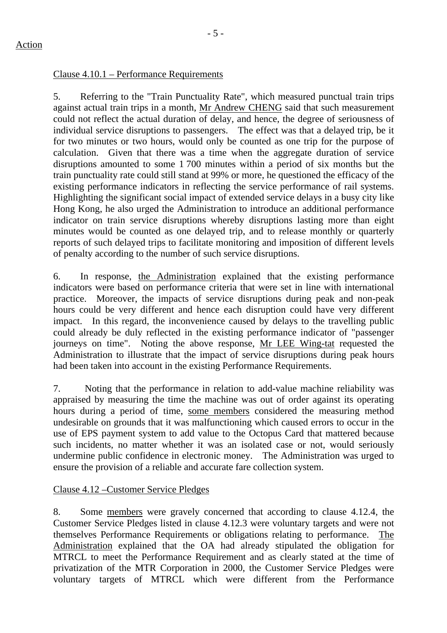## Clause 4.10.1 – Performance Requirements

5. Referring to the "Train Punctuality Rate", which measured punctual train trips against actual train trips in a month, Mr Andrew CHENG said that such measurement could not reflect the actual duration of delay, and hence, the degree of seriousness of individual service disruptions to passengers. The effect was that a delayed trip, be it for two minutes or two hours, would only be counted as one trip for the purpose of calculation. Given that there was a time when the aggregate duration of service disruptions amounted to some 1 700 minutes within a period of six months but the train punctuality rate could still stand at 99% or more, he questioned the efficacy of the existing performance indicators in reflecting the service performance of rail systems. Highlighting the significant social impact of extended service delays in a busy city like Hong Kong, he also urged the Administration to introduce an additional performance indicator on train service disruptions whereby disruptions lasting more than eight minutes would be counted as one delayed trip, and to release monthly or quarterly reports of such delayed trips to facilitate monitoring and imposition of different levels of penalty according to the number of such service disruptions.

6. In response, the Administration explained that the existing performance indicators were based on performance criteria that were set in line with international practice. Moreover, the impacts of service disruptions during peak and non-peak hours could be very different and hence each disruption could have very different impact. In this regard, the inconvenience caused by delays to the travelling public could already be duly reflected in the existing performance indicator of "passenger journeys on time". Noting the above response, Mr LEE Wing-tat requested the Administration to illustrate that the impact of service disruptions during peak hours had been taken into account in the existing Performance Requirements.

7. Noting that the performance in relation to add-value machine reliability was appraised by measuring the time the machine was out of order against its operating hours during a period of time, some members considered the measuring method undesirable on grounds that it was malfunctioning which caused errors to occur in the use of EPS payment system to add value to the Octopus Card that mattered because such incidents, no matter whether it was an isolated case or not, would seriously undermine public confidence in electronic money. The Administration was urged to ensure the provision of a reliable and accurate fare collection system.

### Clause 4.12 –Customer Service Pledges

8. Some members were gravely concerned that according to clause 4.12.4, the Customer Service Pledges listed in clause 4.12.3 were voluntary targets and were not themselves Performance Requirements or obligations relating to performance. The Administration explained that the OA had already stipulated the obligation for MTRCL to meet the Performance Requirement and as clearly stated at the time of privatization of the MTR Corporation in 2000, the Customer Service Pledges were voluntary targets of MTRCL which were different from the Performance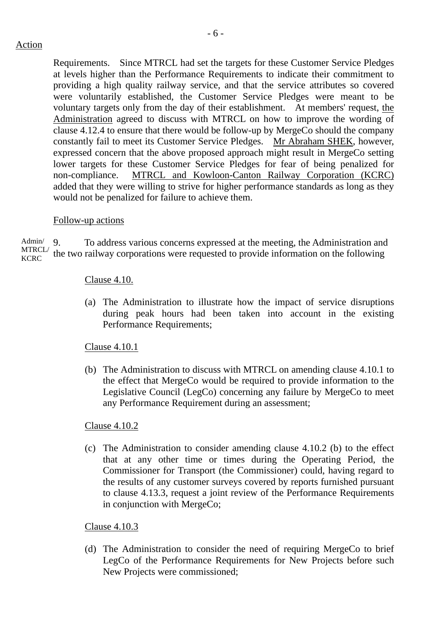- 6 -

Requirements. Since MTRCL had set the targets for these Customer Service Pledges at levels higher than the Performance Requirements to indicate their commitment to providing a high quality railway service, and that the service attributes so covered were voluntarily established, the Customer Service Pledges were meant to be voluntary targets only from the day of their establishment. At members' request, the Administration agreed to discuss with MTRCL on how to improve the wording of clause 4.12.4 to ensure that there would be follow-up by MergeCo should the company constantly fail to meet its Customer Service Pledges. Mr Abraham SHEK, however, expressed concern that the above proposed approach might result in MergeCo setting lower targets for these Customer Service Pledges for fear of being penalized for non-compliance. MTRCL and Kowloon-Canton Railway Corporation (KCRC) added that they were willing to strive for higher performance standards as long as they would not be penalized for failure to achieve them.

# Follow-up actions

Admin/ MTRCL/ **KCRC** 9. To address various concerns expressed at the meeting, the Administration and the two railway corporations were requested to provide information on the following

# Clause 4.10.

(a) The Administration to illustrate how the impact of service disruptions during peak hours had been taken into account in the existing Performance Requirements;

# Clause 4.10.1

(b) The Administration to discuss with MTRCL on amending clause 4.10.1 to the effect that MergeCo would be required to provide information to the Legislative Council (LegCo) concerning any failure by MergeCo to meet any Performance Requirement during an assessment;

# Clause 4.10.2

(c) The Administration to consider amending clause 4.10.2 (b) to the effect that at any other time or times during the Operating Period, the Commissioner for Transport (the Commissioner) could, having regard to the results of any customer surveys covered by reports furnished pursuant to clause 4.13.3, request a joint review of the Performance Requirements in conjunction with MergeCo;

### Clause 4.10.3

(d) The Administration to consider the need of requiring MergeCo to brief LegCo of the Performance Requirements for New Projects before such New Projects were commissioned;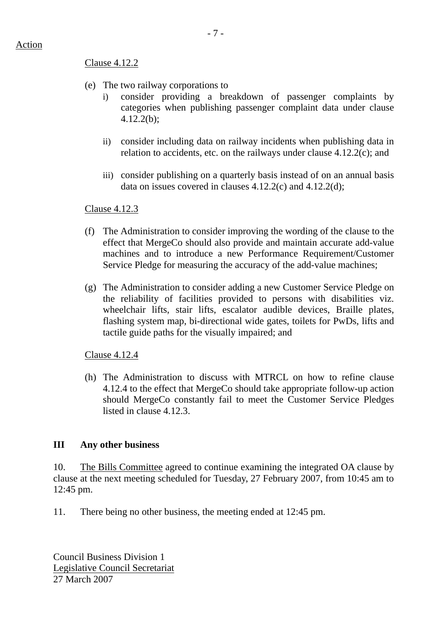#### Clause 4.12.2

- (e) The two railway corporations to
	- i) consider providing a breakdown of passenger complaints by categories when publishing passenger complaint data under clause 4.12.2(b);
	- ii) consider including data on railway incidents when publishing data in relation to accidents, etc. on the railways under clause 4.12.2(c); and
	- iii) consider publishing on a quarterly basis instead of on an annual basis data on issues covered in clauses 4.12.2(c) and 4.12.2(d);

### Clause 4.12.3

- (f) The Administration to consider improving the wording of the clause to the effect that MergeCo should also provide and maintain accurate add-value machines and to introduce a new Performance Requirement/Customer Service Pledge for measuring the accuracy of the add-value machines;
- (g) The Administration to consider adding a new Customer Service Pledge on the reliability of facilities provided to persons with disabilities viz. wheelchair lifts, stair lifts, escalator audible devices. Braille plates, flashing system map, bi-directional wide gates, toilets for PwDs, lifts and tactile guide paths for the visually impaired; and

Clause 4.12.4

(h) The Administration to discuss with MTRCL on how to refine clause 4.12.4 to the effect that MergeCo should take appropriate follow-up action should MergeCo constantly fail to meet the Customer Service Pledges listed in clause 4.12.3.

### **III Any other business**

10. The Bills Committee agreed to continue examining the integrated OA clause by clause at the next meeting scheduled for Tuesday, 27 February 2007, from 10:45 am to 12:45 pm.

11. There being no other business, the meeting ended at 12:45 pm.

Council Business Division 1 Legislative Council Secretariat 27 March 2007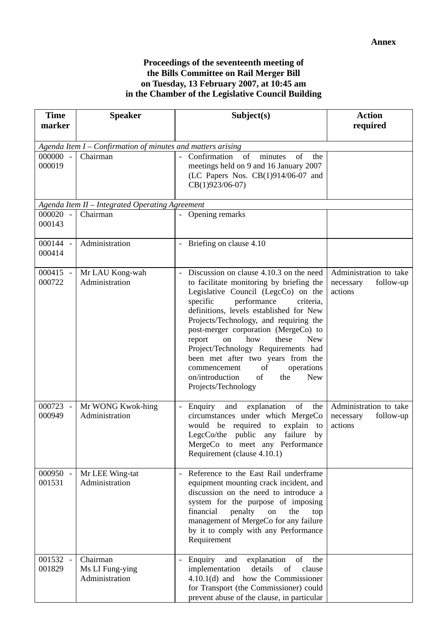### **Proceedings of the seventeenth meeting of the Bills Committee on Rail Merger Bill on Tuesday, 13 February 2007, at 10:45 am in the Chamber of the Legislative Council Building**

| marker<br>required<br>Agenda Item $I$ – Confirmation of minutes and matters arising<br>000000 -<br>Confirmation<br>of<br>minutes<br>of<br>Chairman<br>the<br>000019<br>meetings held on 9 and 16 January 2007<br>(LC Papers Nos. CB(1)914/06-07 and<br>CB(1)923/06-07)<br>Agenda Item II - Integrated Operating Agreement<br>$000020 -$<br>- Opening remarks<br>Chairman<br>000143<br>000144 -<br>Administration<br>- Briefing on clause 4.10<br>000414<br>000415 -<br>Discussion on clause 4.10.3 on the need<br>Administration to take<br>Mr LAU Kong-wah<br>$\equiv$<br>000722<br>Administration<br>to facilitate monitoring by briefing the<br>necessary<br>follow-up<br>Legislative Council (LegcCo) on the<br>actions<br>performance<br>specific<br>criteria,<br>definitions, levels established for New<br>Projects/Technology, and requiring the<br>post-merger corporation (MergeCo) to<br>how<br>report<br>these<br>on<br><b>New</b><br>Project/Technology Requirements had<br>been met after two years from the<br>operations<br>of<br>commencement<br>on/introduction<br>of<br>the<br><b>New</b><br>Projects/Technology<br>Administration to take<br>000723<br>Mr WONG Kwok-hing<br>explanation of<br>- Enquiry<br>and<br>the<br>$\overline{\phantom{a}}$<br>000949<br>Administration<br>circumstances under which MergeCo<br>follow-up<br>necessary<br>would be required to explain<br>actions<br>to<br>$LegcCo/the$ public<br>failure<br>any<br>by<br>MergeCo to meet any Performance<br>Requirement (clause 4.10.1)<br>Reference to the East Rail underframe<br>000950 -<br>Mr LEE Wing-tat<br>001531<br>Administration<br>equipment mounting crack incident, and<br>discussion on the need to introduce a<br>system for the purpose of imposing<br>financial<br>penalty<br>on<br>the<br>top<br>management of MergeCo for any failure<br>by it to comply with any Performance<br>Requirement<br>001532 -<br>Chairman<br>explanation<br>of<br>Enquiry<br>the<br>and<br>001829<br>implementation<br>Ms LI Fung-ying<br>details<br>of<br>clause<br>Administration | <b>Time</b> | <b>Speaker</b> | Subject(s)                           | <b>Action</b> |  |  |  |  |
|-------------------------------------------------------------------------------------------------------------------------------------------------------------------------------------------------------------------------------------------------------------------------------------------------------------------------------------------------------------------------------------------------------------------------------------------------------------------------------------------------------------------------------------------------------------------------------------------------------------------------------------------------------------------------------------------------------------------------------------------------------------------------------------------------------------------------------------------------------------------------------------------------------------------------------------------------------------------------------------------------------------------------------------------------------------------------------------------------------------------------------------------------------------------------------------------------------------------------------------------------------------------------------------------------------------------------------------------------------------------------------------------------------------------------------------------------------------------------------------------------------------------------------------------------------------------------------------------------------------------------------------------------------------------------------------------------------------------------------------------------------------------------------------------------------------------------------------------------------------------------------------------------------------------------------------------------------------------------------------------------------------------------------------------------------------------------------|-------------|----------------|--------------------------------------|---------------|--|--|--|--|
|                                                                                                                                                                                                                                                                                                                                                                                                                                                                                                                                                                                                                                                                                                                                                                                                                                                                                                                                                                                                                                                                                                                                                                                                                                                                                                                                                                                                                                                                                                                                                                                                                                                                                                                                                                                                                                                                                                                                                                                                                                                                               |             |                |                                      |               |  |  |  |  |
|                                                                                                                                                                                                                                                                                                                                                                                                                                                                                                                                                                                                                                                                                                                                                                                                                                                                                                                                                                                                                                                                                                                                                                                                                                                                                                                                                                                                                                                                                                                                                                                                                                                                                                                                                                                                                                                                                                                                                                                                                                                                               |             |                |                                      |               |  |  |  |  |
|                                                                                                                                                                                                                                                                                                                                                                                                                                                                                                                                                                                                                                                                                                                                                                                                                                                                                                                                                                                                                                                                                                                                                                                                                                                                                                                                                                                                                                                                                                                                                                                                                                                                                                                                                                                                                                                                                                                                                                                                                                                                               |             |                |                                      |               |  |  |  |  |
|                                                                                                                                                                                                                                                                                                                                                                                                                                                                                                                                                                                                                                                                                                                                                                                                                                                                                                                                                                                                                                                                                                                                                                                                                                                                                                                                                                                                                                                                                                                                                                                                                                                                                                                                                                                                                                                                                                                                                                                                                                                                               |             |                |                                      |               |  |  |  |  |
|                                                                                                                                                                                                                                                                                                                                                                                                                                                                                                                                                                                                                                                                                                                                                                                                                                                                                                                                                                                                                                                                                                                                                                                                                                                                                                                                                                                                                                                                                                                                                                                                                                                                                                                                                                                                                                                                                                                                                                                                                                                                               |             |                |                                      |               |  |  |  |  |
|                                                                                                                                                                                                                                                                                                                                                                                                                                                                                                                                                                                                                                                                                                                                                                                                                                                                                                                                                                                                                                                                                                                                                                                                                                                                                                                                                                                                                                                                                                                                                                                                                                                                                                                                                                                                                                                                                                                                                                                                                                                                               |             |                |                                      |               |  |  |  |  |
|                                                                                                                                                                                                                                                                                                                                                                                                                                                                                                                                                                                                                                                                                                                                                                                                                                                                                                                                                                                                                                                                                                                                                                                                                                                                                                                                                                                                                                                                                                                                                                                                                                                                                                                                                                                                                                                                                                                                                                                                                                                                               |             |                |                                      |               |  |  |  |  |
|                                                                                                                                                                                                                                                                                                                                                                                                                                                                                                                                                                                                                                                                                                                                                                                                                                                                                                                                                                                                                                                                                                                                                                                                                                                                                                                                                                                                                                                                                                                                                                                                                                                                                                                                                                                                                                                                                                                                                                                                                                                                               |             |                |                                      |               |  |  |  |  |
|                                                                                                                                                                                                                                                                                                                                                                                                                                                                                                                                                                                                                                                                                                                                                                                                                                                                                                                                                                                                                                                                                                                                                                                                                                                                                                                                                                                                                                                                                                                                                                                                                                                                                                                                                                                                                                                                                                                                                                                                                                                                               |             |                |                                      |               |  |  |  |  |
|                                                                                                                                                                                                                                                                                                                                                                                                                                                                                                                                                                                                                                                                                                                                                                                                                                                                                                                                                                                                                                                                                                                                                                                                                                                                                                                                                                                                                                                                                                                                                                                                                                                                                                                                                                                                                                                                                                                                                                                                                                                                               |             |                |                                      |               |  |  |  |  |
|                                                                                                                                                                                                                                                                                                                                                                                                                                                                                                                                                                                                                                                                                                                                                                                                                                                                                                                                                                                                                                                                                                                                                                                                                                                                                                                                                                                                                                                                                                                                                                                                                                                                                                                                                                                                                                                                                                                                                                                                                                                                               |             |                |                                      |               |  |  |  |  |
|                                                                                                                                                                                                                                                                                                                                                                                                                                                                                                                                                                                                                                                                                                                                                                                                                                                                                                                                                                                                                                                                                                                                                                                                                                                                                                                                                                                                                                                                                                                                                                                                                                                                                                                                                                                                                                                                                                                                                                                                                                                                               |             |                |                                      |               |  |  |  |  |
|                                                                                                                                                                                                                                                                                                                                                                                                                                                                                                                                                                                                                                                                                                                                                                                                                                                                                                                                                                                                                                                                                                                                                                                                                                                                                                                                                                                                                                                                                                                                                                                                                                                                                                                                                                                                                                                                                                                                                                                                                                                                               |             |                |                                      |               |  |  |  |  |
|                                                                                                                                                                                                                                                                                                                                                                                                                                                                                                                                                                                                                                                                                                                                                                                                                                                                                                                                                                                                                                                                                                                                                                                                                                                                                                                                                                                                                                                                                                                                                                                                                                                                                                                                                                                                                                                                                                                                                                                                                                                                               |             |                |                                      |               |  |  |  |  |
|                                                                                                                                                                                                                                                                                                                                                                                                                                                                                                                                                                                                                                                                                                                                                                                                                                                                                                                                                                                                                                                                                                                                                                                                                                                                                                                                                                                                                                                                                                                                                                                                                                                                                                                                                                                                                                                                                                                                                                                                                                                                               |             |                |                                      |               |  |  |  |  |
|                                                                                                                                                                                                                                                                                                                                                                                                                                                                                                                                                                                                                                                                                                                                                                                                                                                                                                                                                                                                                                                                                                                                                                                                                                                                                                                                                                                                                                                                                                                                                                                                                                                                                                                                                                                                                                                                                                                                                                                                                                                                               |             |                |                                      |               |  |  |  |  |
|                                                                                                                                                                                                                                                                                                                                                                                                                                                                                                                                                                                                                                                                                                                                                                                                                                                                                                                                                                                                                                                                                                                                                                                                                                                                                                                                                                                                                                                                                                                                                                                                                                                                                                                                                                                                                                                                                                                                                                                                                                                                               |             |                |                                      |               |  |  |  |  |
|                                                                                                                                                                                                                                                                                                                                                                                                                                                                                                                                                                                                                                                                                                                                                                                                                                                                                                                                                                                                                                                                                                                                                                                                                                                                                                                                                                                                                                                                                                                                                                                                                                                                                                                                                                                                                                                                                                                                                                                                                                                                               |             |                |                                      |               |  |  |  |  |
|                                                                                                                                                                                                                                                                                                                                                                                                                                                                                                                                                                                                                                                                                                                                                                                                                                                                                                                                                                                                                                                                                                                                                                                                                                                                                                                                                                                                                                                                                                                                                                                                                                                                                                                                                                                                                                                                                                                                                                                                                                                                               |             |                |                                      |               |  |  |  |  |
|                                                                                                                                                                                                                                                                                                                                                                                                                                                                                                                                                                                                                                                                                                                                                                                                                                                                                                                                                                                                                                                                                                                                                                                                                                                                                                                                                                                                                                                                                                                                                                                                                                                                                                                                                                                                                                                                                                                                                                                                                                                                               |             |                |                                      |               |  |  |  |  |
|                                                                                                                                                                                                                                                                                                                                                                                                                                                                                                                                                                                                                                                                                                                                                                                                                                                                                                                                                                                                                                                                                                                                                                                                                                                                                                                                                                                                                                                                                                                                                                                                                                                                                                                                                                                                                                                                                                                                                                                                                                                                               |             |                |                                      |               |  |  |  |  |
|                                                                                                                                                                                                                                                                                                                                                                                                                                                                                                                                                                                                                                                                                                                                                                                                                                                                                                                                                                                                                                                                                                                                                                                                                                                                                                                                                                                                                                                                                                                                                                                                                                                                                                                                                                                                                                                                                                                                                                                                                                                                               |             |                |                                      |               |  |  |  |  |
|                                                                                                                                                                                                                                                                                                                                                                                                                                                                                                                                                                                                                                                                                                                                                                                                                                                                                                                                                                                                                                                                                                                                                                                                                                                                                                                                                                                                                                                                                                                                                                                                                                                                                                                                                                                                                                                                                                                                                                                                                                                                               |             |                |                                      |               |  |  |  |  |
|                                                                                                                                                                                                                                                                                                                                                                                                                                                                                                                                                                                                                                                                                                                                                                                                                                                                                                                                                                                                                                                                                                                                                                                                                                                                                                                                                                                                                                                                                                                                                                                                                                                                                                                                                                                                                                                                                                                                                                                                                                                                               |             |                |                                      |               |  |  |  |  |
|                                                                                                                                                                                                                                                                                                                                                                                                                                                                                                                                                                                                                                                                                                                                                                                                                                                                                                                                                                                                                                                                                                                                                                                                                                                                                                                                                                                                                                                                                                                                                                                                                                                                                                                                                                                                                                                                                                                                                                                                                                                                               |             |                |                                      |               |  |  |  |  |
|                                                                                                                                                                                                                                                                                                                                                                                                                                                                                                                                                                                                                                                                                                                                                                                                                                                                                                                                                                                                                                                                                                                                                                                                                                                                                                                                                                                                                                                                                                                                                                                                                                                                                                                                                                                                                                                                                                                                                                                                                                                                               |             |                |                                      |               |  |  |  |  |
|                                                                                                                                                                                                                                                                                                                                                                                                                                                                                                                                                                                                                                                                                                                                                                                                                                                                                                                                                                                                                                                                                                                                                                                                                                                                                                                                                                                                                                                                                                                                                                                                                                                                                                                                                                                                                                                                                                                                                                                                                                                                               |             |                |                                      |               |  |  |  |  |
|                                                                                                                                                                                                                                                                                                                                                                                                                                                                                                                                                                                                                                                                                                                                                                                                                                                                                                                                                                                                                                                                                                                                                                                                                                                                                                                                                                                                                                                                                                                                                                                                                                                                                                                                                                                                                                                                                                                                                                                                                                                                               |             |                |                                      |               |  |  |  |  |
|                                                                                                                                                                                                                                                                                                                                                                                                                                                                                                                                                                                                                                                                                                                                                                                                                                                                                                                                                                                                                                                                                                                                                                                                                                                                                                                                                                                                                                                                                                                                                                                                                                                                                                                                                                                                                                                                                                                                                                                                                                                                               |             |                |                                      |               |  |  |  |  |
|                                                                                                                                                                                                                                                                                                                                                                                                                                                                                                                                                                                                                                                                                                                                                                                                                                                                                                                                                                                                                                                                                                                                                                                                                                                                                                                                                                                                                                                                                                                                                                                                                                                                                                                                                                                                                                                                                                                                                                                                                                                                               |             |                |                                      |               |  |  |  |  |
|                                                                                                                                                                                                                                                                                                                                                                                                                                                                                                                                                                                                                                                                                                                                                                                                                                                                                                                                                                                                                                                                                                                                                                                                                                                                                                                                                                                                                                                                                                                                                                                                                                                                                                                                                                                                                                                                                                                                                                                                                                                                               |             |                |                                      |               |  |  |  |  |
|                                                                                                                                                                                                                                                                                                                                                                                                                                                                                                                                                                                                                                                                                                                                                                                                                                                                                                                                                                                                                                                                                                                                                                                                                                                                                                                                                                                                                                                                                                                                                                                                                                                                                                                                                                                                                                                                                                                                                                                                                                                                               |             |                |                                      |               |  |  |  |  |
|                                                                                                                                                                                                                                                                                                                                                                                                                                                                                                                                                                                                                                                                                                                                                                                                                                                                                                                                                                                                                                                                                                                                                                                                                                                                                                                                                                                                                                                                                                                                                                                                                                                                                                                                                                                                                                                                                                                                                                                                                                                                               |             |                |                                      |               |  |  |  |  |
|                                                                                                                                                                                                                                                                                                                                                                                                                                                                                                                                                                                                                                                                                                                                                                                                                                                                                                                                                                                                                                                                                                                                                                                                                                                                                                                                                                                                                                                                                                                                                                                                                                                                                                                                                                                                                                                                                                                                                                                                                                                                               |             |                |                                      |               |  |  |  |  |
|                                                                                                                                                                                                                                                                                                                                                                                                                                                                                                                                                                                                                                                                                                                                                                                                                                                                                                                                                                                                                                                                                                                                                                                                                                                                                                                                                                                                                                                                                                                                                                                                                                                                                                                                                                                                                                                                                                                                                                                                                                                                               |             |                |                                      |               |  |  |  |  |
|                                                                                                                                                                                                                                                                                                                                                                                                                                                                                                                                                                                                                                                                                                                                                                                                                                                                                                                                                                                                                                                                                                                                                                                                                                                                                                                                                                                                                                                                                                                                                                                                                                                                                                                                                                                                                                                                                                                                                                                                                                                                               |             |                |                                      |               |  |  |  |  |
|                                                                                                                                                                                                                                                                                                                                                                                                                                                                                                                                                                                                                                                                                                                                                                                                                                                                                                                                                                                                                                                                                                                                                                                                                                                                                                                                                                                                                                                                                                                                                                                                                                                                                                                                                                                                                                                                                                                                                                                                                                                                               |             |                |                                      |               |  |  |  |  |
|                                                                                                                                                                                                                                                                                                                                                                                                                                                                                                                                                                                                                                                                                                                                                                                                                                                                                                                                                                                                                                                                                                                                                                                                                                                                                                                                                                                                                                                                                                                                                                                                                                                                                                                                                                                                                                                                                                                                                                                                                                                                               |             |                | $4.10.1(d)$ and how the Commissioner |               |  |  |  |  |
| for Transport (the Commissioner) could<br>prevent abuse of the clause, in particular                                                                                                                                                                                                                                                                                                                                                                                                                                                                                                                                                                                                                                                                                                                                                                                                                                                                                                                                                                                                                                                                                                                                                                                                                                                                                                                                                                                                                                                                                                                                                                                                                                                                                                                                                                                                                                                                                                                                                                                          |             |                |                                      |               |  |  |  |  |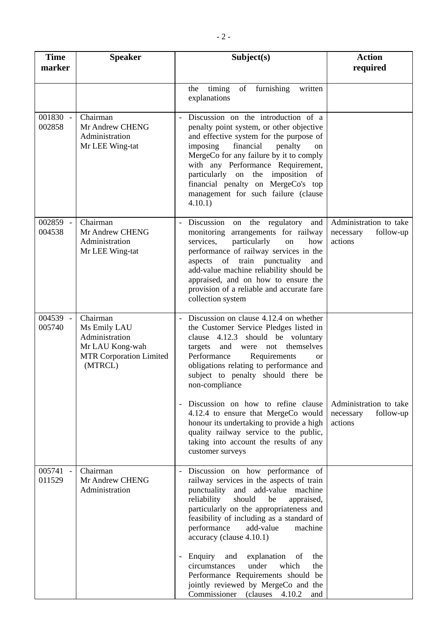| <b>Time</b><br>marker | <b>Speaker</b>                                                                                             | Subject(s)                                                                                                                                                                                                                                                                                                                                                                                                                                   | <b>Action</b><br>required                                   |
|-----------------------|------------------------------------------------------------------------------------------------------------|----------------------------------------------------------------------------------------------------------------------------------------------------------------------------------------------------------------------------------------------------------------------------------------------------------------------------------------------------------------------------------------------------------------------------------------------|-------------------------------------------------------------|
|                       |                                                                                                            | of<br>furnishing<br>the<br>timing<br>written<br>explanations                                                                                                                                                                                                                                                                                                                                                                                 |                                                             |
| 001830 -<br>002858    | Chairman<br>Mr Andrew CHENG<br>Administration<br>Mr LEE Wing-tat                                           | Discussion on the introduction of a<br>penalty point system, or other objective<br>and effective system for the purpose of<br>imposing<br>financial<br>penalty<br>on<br>MergeCo for any failure by it to comply<br>with any Performance Requirement,<br>particularly on the imposition of<br>financial penalty on MergeCo's top<br>management for such failure (clause<br>4.10.1)                                                            |                                                             |
| 002859 -<br>004538    | Chairman<br>Mr Andrew CHENG<br>Administration<br>Mr LEE Wing-tat                                           | Discussion on<br>the regulatory<br>and<br>monitoring arrangements for railway<br>particularly<br>services,<br>on<br>how<br>performance of railway services in the<br>aspects of train punctuality<br>and<br>add-value machine reliability should be<br>appraised, and on how to ensure the<br>provision of a reliable and accurate fare<br>collection system                                                                                 | Administration to take<br>follow-up<br>necessary<br>actions |
| 004539 -<br>005740    | Chairman<br>Ms Emily LAU<br>Administration<br>Mr LAU Kong-wah<br><b>MTR Corporation Limited</b><br>(MTRCL) | Discussion on clause 4.12.4 on whether<br>the Customer Service Pledges listed in<br>clause 4.12.3 should be voluntary<br>themselves<br>and<br>were<br>not<br>targets<br>Performance<br>Requirements<br><b>or</b><br>obligations relating to performance and<br>subject to penalty should there be<br>non-compliance<br>Discussion on how to refine clause<br>4.12.4 to ensure that MergeCo would<br>honour its undertaking to provide a high | Administration to take<br>necessary<br>follow-up<br>actions |
|                       |                                                                                                            | quality railway service to the public,<br>taking into account the results of any<br>customer surveys                                                                                                                                                                                                                                                                                                                                         |                                                             |
| 005741<br>011529      | Chairman<br>Mr Andrew CHENG<br>Administration                                                              | Discussion on how performance of<br>railway services in the aspects of train<br>punctuality<br>and add-value machine<br>reliability<br>should<br>be<br>appraised,<br>particularly on the appropriateness and<br>feasibility of including as a standard of<br>performance<br>add-value<br>machine<br>accuracy (clause 4.10.1)                                                                                                                 |                                                             |
|                       |                                                                                                            | explanation<br>Enquiry<br>and<br>of<br>the<br>circumstances<br>which<br>under<br>the<br>Performance Requirements should be<br>jointly reviewed by MergeCo and the<br>Commissioner (clauses<br>4.10.2<br>and                                                                                                                                                                                                                                  |                                                             |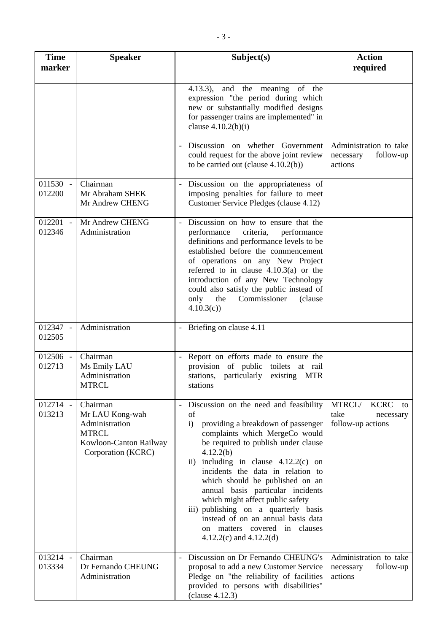| <b>Time</b><br>marker  | <b>Speaker</b>                                                                                                | Subject(s)                                                                                                                                                                                                                                                                                                                                                                                                                                                                                                                      | <b>Action</b><br>required                                             |
|------------------------|---------------------------------------------------------------------------------------------------------------|---------------------------------------------------------------------------------------------------------------------------------------------------------------------------------------------------------------------------------------------------------------------------------------------------------------------------------------------------------------------------------------------------------------------------------------------------------------------------------------------------------------------------------|-----------------------------------------------------------------------|
|                        |                                                                                                               | 4.13.3), and the meaning of the<br>expression "the period during which<br>new or substantially modified designs<br>for passenger trains are implemented" in<br>clause $4.10.2(b)(i)$                                                                                                                                                                                                                                                                                                                                            |                                                                       |
|                        |                                                                                                               | Discussion on whether Government<br>could request for the above joint review<br>to be carried out (clause $4.10.2(b)$ )                                                                                                                                                                                                                                                                                                                                                                                                         | Administration to take<br>follow-up<br>necessary<br>actions           |
| $011530 -$<br>012200   | Chairman<br>Mr Abraham SHEK<br>Mr Andrew CHENG                                                                | Discussion on the appropriateness of<br>imposing penalties for failure to meet<br>Customer Service Pledges (clause 4.12)                                                                                                                                                                                                                                                                                                                                                                                                        |                                                                       |
| $012201$ $-$<br>012346 | Mr Andrew CHENG<br>Administration                                                                             | Discussion on how to ensure that the<br>performance<br>criteria,<br>performance<br>definitions and performance levels to be<br>established before the commencement<br>of operations on any New Project<br>referred to in clause $4.10.3(a)$ or the<br>introduction of any New Technology<br>could also satisfy the public instead of<br>the<br>Commissioner<br>only<br>(clause)<br>4.10.3(c)                                                                                                                                    |                                                                       |
| 012347 -<br>012505     | Administration                                                                                                | - Briefing on clause 4.11                                                                                                                                                                                                                                                                                                                                                                                                                                                                                                       |                                                                       |
| 012506 -<br>012713     | Chairman<br>Ms Emily LAU<br>Administration<br><b>MTRCL</b>                                                    | Report on efforts made to ensure the<br>provision of public toilets at rail<br>stations, particularly existing MTR<br>stations                                                                                                                                                                                                                                                                                                                                                                                                  |                                                                       |
| 012714 -<br>013213     | Chairman<br>Mr LAU Kong-wah<br>Administration<br><b>MTRCL</b><br>Kowloon-Canton Railway<br>Corporation (KCRC) | Discussion on the need and feasibility<br>of<br>providing a breakdown of passenger<br>$\mathbf{i}$<br>complaints which MergeCo would<br>be required to publish under clause<br>4.12.2(b)<br>ii) including in clause $4.12.2(c)$ on<br>incidents the data in relation to<br>which should be published on an<br>annual basis particular incidents<br>which might affect public safety<br>iii) publishing on a quarterly basis<br>instead of on an annual basis data<br>on matters covered in clauses<br>4.12.2(c) and $4.12.2(d)$ | MTRCL/<br><b>KCRC</b><br>to<br>take<br>necessary<br>follow-up actions |
| 013214 -<br>013334     | Chairman<br>Dr Fernando CHEUNG<br>Administration                                                              | Discussion on Dr Fernando CHEUNG's<br>$\frac{1}{2}$<br>proposal to add a new Customer Service<br>Pledge on "the reliability of facilities<br>provided to persons with disabilities"<br>clause 4.12.3)                                                                                                                                                                                                                                                                                                                           | Administration to take<br>follow-up<br>necessary<br>actions           |